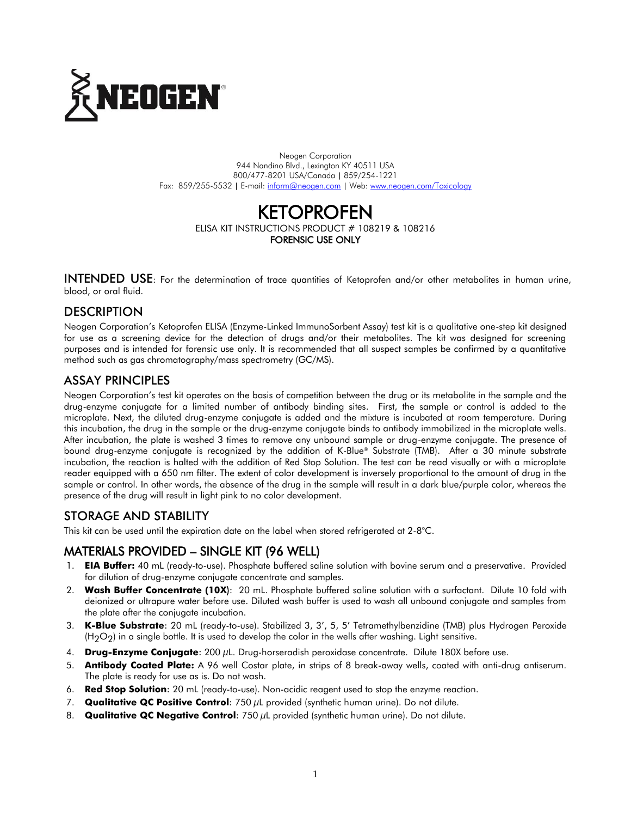

Neogen Corporation 944 Nandino Blvd., Lexington KY 40511 USA 800/477-8201 USA/Canada | 859/254-1221 Fax: 859/255-5532 | E-mail[: inform@neogen.com](mailto:inform@neogen.com) | Web[: www.neogen.com/Toxicology](http://www.neogen.com/Toxicology)

## KETOPROFEN ELISA KIT INSTRUCTIONS PRODUCT # 108219 & 108216 FORENSIC USE ONLY

INTENDED USE: For the determination of trace quantities of Ketoprofen and/or other metabolites in human urine, blood, or oral fluid.

## **DESCRIPTION**

Neogen Corporation's Ketoprofen ELISA (Enzyme-Linked ImmunoSorbent Assay) test kit is a qualitative one-step kit designed for use as a screening device for the detection of drugs and/or their metabolites. The kit was designed for screening purposes and is intended for forensic use only. It is recommended that all suspect samples be confirmed by a quantitative method such as gas chromatography/mass spectrometry (GC/MS).

## ASSAY PRINCIPLES

Neogen Corporation's test kit operates on the basis of competition between the drug or its metabolite in the sample and the drug-enzyme conjugate for a limited number of antibody binding sites. First, the sample or control is added to the microplate. Next, the diluted drug-enzyme conjugate is added and the mixture is incubated at room temperature. During this incubation, the drug in the sample or the drug-enzyme conjugate binds to antibody immobilized in the microplate wells. After incubation, the plate is washed 3 times to remove any unbound sample or drug-enzyme conjugate. The presence of bound drug-enzyme conjugate is recognized by the addition of K-Blue® Substrate (TMB). After a 30 minute substrate incubation, the reaction is halted with the addition of Red Stop Solution. The test can be read visually or with a microplate reader equipped with a 650 nm filter. The extent of color development is inversely proportional to the amount of drug in the sample or control. In other words, the absence of the drug in the sample will result in a dark blue/purple color, whereas the presence of the drug will result in light pink to no color development.

# STORAGE AND STABILITY

This kit can be used until the expiration date on the label when stored refrigerated at 2-8°C.

# MATERIALS PROVIDED – SINGLE KIT (96 WELL)

- 1. **EIA Buffer:** 40 mL (ready-to-use). Phosphate buffered saline solution with bovine serum and a preservative. Provided for dilution of drug-enzyme conjugate concentrate and samples.
- 2. **Wash Buffer Concentrate (10X**): 20 mL. Phosphate buffered saline solution with a surfactant. Dilute 10 fold with deionized or ultrapure water before use. Diluted wash buffer is used to wash all unbound conjugate and samples from the plate after the conjugate incubation.
- 3. **K-Blue Substrate**: 20 mL (ready-to-use). Stabilized 3, 3', 5, 5' Tetramethylbenzidine (TMB) plus Hydrogen Peroxide (H2O2) in a single bottle. It is used to develop the color in the wells after washing. Light sensitive.
- 4. **Drug-Enzyme Conjugate**: 200 µL. Drug-horseradish peroxidase concentrate. Dilute 180X before use.
- 5. **Antibody Coated Plate:** A 96 well Costar plate, in strips of 8 break-away wells, coated with anti-drug antiserum. The plate is ready for use as is. Do not wash.
- 6. **Red Stop Solution**: 20 mL (ready-to-use). Non-acidic reagent used to stop the enzyme reaction.
- 7. **Qualitative QC Positive Control**: 750 µL provided (synthetic human urine). Do not dilute.
- 8. **Qualitative QC Negative Control**: 750 µL provided (synthetic human urine). Do not dilute.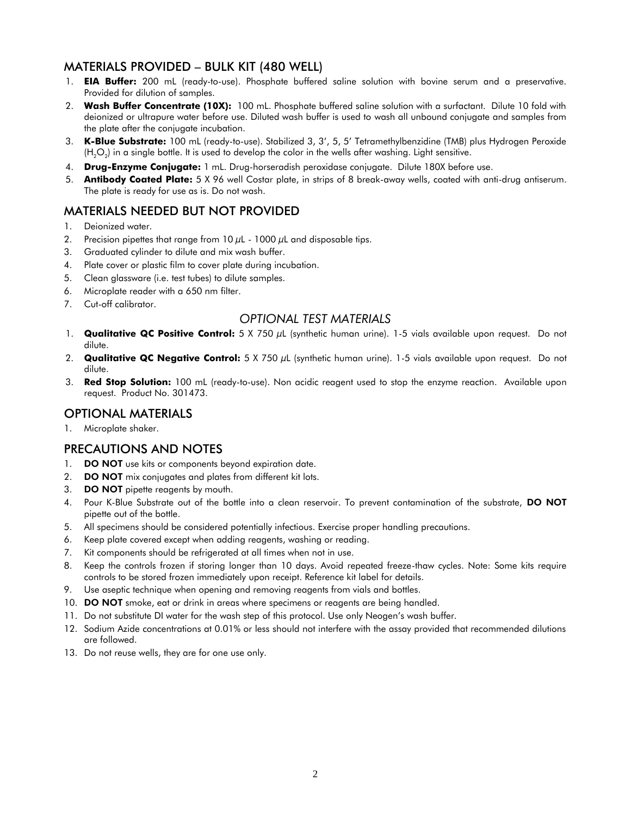## MATERIALS PROVIDED – BULK KIT (480 WELL)

- 1. **EIA Buffer:** 200 mL (ready-to-use). Phosphate buffered saline solution with bovine serum and a preservative. Provided for dilution of samples.
- 2. **Wash Buffer Concentrate (10X):** 100 mL. Phosphate buffered saline solution with a surfactant. Dilute 10 fold with deionized or ultrapure water before use. Diluted wash buffer is used to wash all unbound conjugate and samples from the plate after the conjugate incubation.
- 3. **K-Blue Substrate:** 100 mL (ready-to-use). Stabilized 3, 3', 5, 5' Tetramethylbenzidine (TMB) plus Hydrogen Peroxide (H $_{2}$ O $_{2}$ ) in a single bottle. It is used to develop the color in the wells after washing. Light sensitive.
- 4. **Drug-Enzyme Conjugate:** 1 mL. Drug-horseradish peroxidase conjugate. Dilute 180X before use.
- 5. **Antibody Coated Plate:** 5 X 96 well Costar plate, in strips of 8 break-away wells, coated with anti-drug antiserum. The plate is ready for use as is. Do not wash.

# MATERIALS NEEDED BUT NOT PROVIDED

- 1. Deionized water.
- 2. Precision pipettes that range from  $10 \mu L 1000 \mu L$  and disposable tips.
- 3. Graduated cylinder to dilute and mix wash buffer.
- 4. Plate cover or plastic film to cover plate during incubation.
- 5. Clean glassware (i.e. test tubes) to dilute samples.
- 6. Microplate reader with a 650 nm filter.
- 7. Cut-off calibrator.

#### *OPTIONAL TEST MATERIALS*

- 1. **Qualitative QC Positive Control:** 5 X 750 µL (synthetic human urine). 1-5 vials available upon request. Do not dilute.
- 2. **Qualitative QC Negative Control:** 5 X 750 µL (synthetic human urine). 1-5 vials available upon request. Do not dilute.
- 3. **Red Stop Solution:** 100 mL (ready-to-use). Non acidic reagent used to stop the enzyme reaction. Available upon request. Product No. 301473.

#### OPTIONAL MATERIALS

1. Microplate shaker.

## PRECAUTIONS AND NOTES

- 1. DO NOT use kits or components beyond expiration date.
- 2. **DO NOT** mix conjugates and plates from different kit lots.
- 3. DO NOT pipette reagents by mouth.
- 4. Pour K-Blue Substrate out of the bottle into a clean reservoir. To prevent contamination of the substrate, DO NOT pipette out of the bottle.
- 5. All specimens should be considered potentially infectious. Exercise proper handling precautions.
- 6. Keep plate covered except when adding reagents, washing or reading.
- 7. Kit components should be refrigerated at all times when not in use.
- 8. Keep the controls frozen if storing longer than 10 days. Avoid repeated freeze-thaw cycles. Note: Some kits require controls to be stored frozen immediately upon receipt. Reference kit label for details.
- 9. Use aseptic technique when opening and removing reagents from vials and bottles.
- 10. DO NOT smoke, eat or drink in areas where specimens or reagents are being handled.
- 11. Do not substitute DI water for the wash step of this protocol. Use only Neogen's wash buffer.
- 12. Sodium Azide concentrations at 0.01% or less should not interfere with the assay provided that recommended dilutions are followed.
- 13. Do not reuse wells, they are for one use only.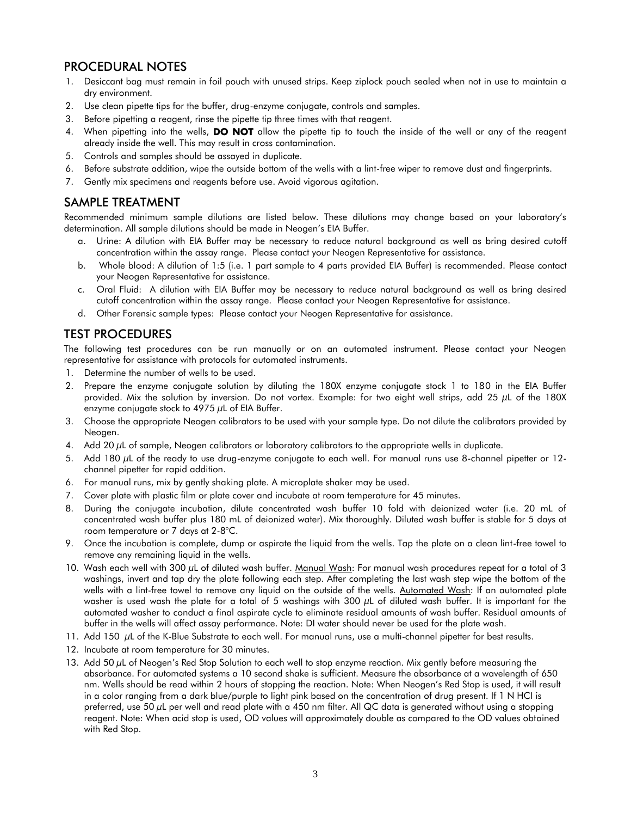## PROCEDURAL NOTES

- 1. Desiccant bag must remain in foil pouch with unused strips. Keep ziplock pouch sealed when not in use to maintain a dry environment.
- 2. Use clean pipette tips for the buffer, drug-enzyme conjugate, controls and samples.
- 3. Before pipetting a reagent, rinse the pipette tip three times with that reagent.
- 4. When pipetting into the wells, DO NOT allow the pipette tip to touch the inside of the well or any of the reagent already inside the well. This may result in cross contamination.
- 5. Controls and samples should be assayed in duplicate.
- 6. Before substrate addition, wipe the outside bottom of the wells with a lint-free wiper to remove dust and fingerprints.
- 7. Gently mix specimens and reagents before use. Avoid vigorous agitation.

#### SAMPLE TREATMENT

Recommended minimum sample dilutions are listed below. These dilutions may change based on your laboratory's determination. All sample dilutions should be made in Neogen's EIA Buffer.

- a. Urine: A dilution with EIA Buffer may be necessary to reduce natural background as well as bring desired cutoff concentration within the assay range. Please contact your Neogen Representative for assistance.
- b. Whole blood: A dilution of 1:5 (i.e. 1 part sample to 4 parts provided EIA Buffer) is recommended. Please contact your Neogen Representative for assistance.
- c. Oral Fluid: A dilution with EIA Buffer may be necessary to reduce natural background as well as bring desired cutoff concentration within the assay range. Please contact your Neogen Representative for assistance.
- d. Other Forensic sample types: Please contact your Neogen Representative for assistance.

# TEST PROCEDURES

The following test procedures can be run manually or on an automated instrument. Please contact your Neogen representative for assistance with protocols for automated instruments.

- 1. Determine the number of wells to be used.
- 2. Prepare the enzyme conjugate solution by diluting the 180X enzyme conjugate stock 1 to 180 in the EIA Buffer provided. Mix the solution by inversion. Do not vortex. Example: for two eight well strips, add 25 µL of the 180X enzyme conjugate stock to  $4975 \mu L$  of EIA Buffer.
- 3. Choose the appropriate Neogen calibrators to be used with your sample type. Do not dilute the calibrators provided by Neogen.
- 4. Add 20 µL of sample, Neogen calibrators or laboratory calibrators to the appropriate wells in duplicate.
- 5. Add 180 µL of the ready to use drug-enzyme conjugate to each well. For manual runs use 8-channel pipetter or 12channel pipetter for rapid addition.
- 6. For manual runs, mix by gently shaking plate. A microplate shaker may be used.
- 7. Cover plate with plastic film or plate cover and incubate at room temperature for 45 minutes.
- 8. During the conjugate incubation, dilute concentrated wash buffer 10 fold with deionized water (i.e. 20 mL of concentrated wash buffer plus 180 mL of deionized water). Mix thoroughly. Diluted wash buffer is stable for 5 days at room temperature or 7 days at 2-8°C.
- 9. Once the incubation is complete, dump or aspirate the liquid from the wells. Tap the plate on a clean lint-free towel to remove any remaining liquid in the wells.
- 10. Wash each well with 300 µL of diluted wash buffer. Manual Wash: For manual wash procedures repeat for a total of 3 washings, invert and tap dry the plate following each step. After completing the last wash step wipe the bottom of the wells with a lint-free towel to remove any liquid on the outside of the wells. Automated Wash: If an automated plate washer is used wash the plate for a total of 5 washings with 300  $\mu$ L of diluted wash buffer. It is important for the automated washer to conduct a final aspirate cycle to eliminate residual amounts of wash buffer. Residual amounts of buffer in the wells will affect assay performance. Note: DI water should never be used for the plate wash.
- 11. Add 150  $\mu$ L of the K-Blue Substrate to each well. For manual runs, use a multi-channel pipetter for best results.
- 12. Incubate at room temperature for 30 minutes.
- 13. Add 50 µL of Neogen's Red Stop Solution to each well to stop enzyme reaction. Mix gently before measuring the absorbance. For automated systems a 10 second shake is sufficient. Measure the absorbance at a wavelength of 650 nm. Wells should be read within 2 hours of stopping the reaction. Note: When Neogen's Red Stop is used, it will result in a color ranging from a dark blue/purple to light pink based on the concentration of drug present. If 1 N HCI is preferred, use 50 µL per well and read plate with a 450 nm filter. All QC data is generated without using a stopping reagent. Note: When acid stop is used, OD values will approximately double as compared to the OD values obtained with Red Stop.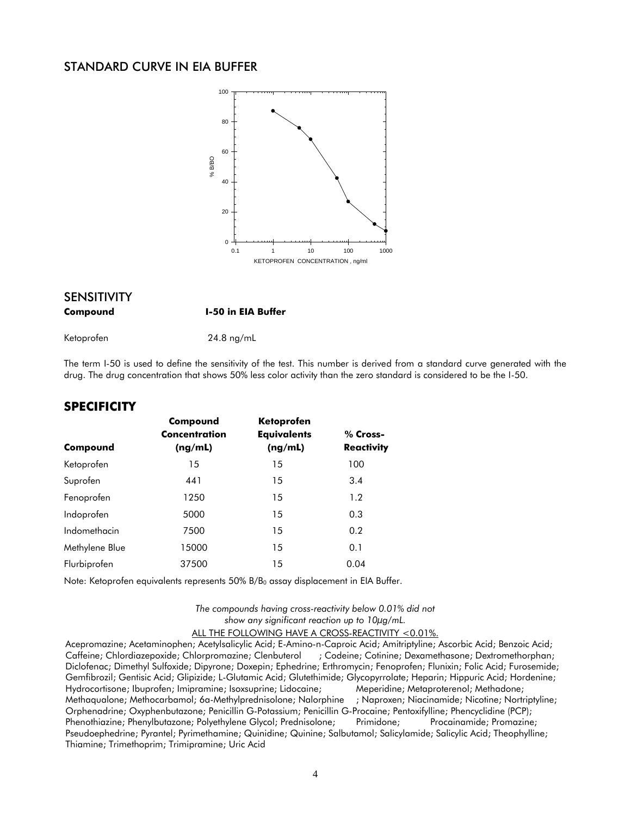#### STANDARD CURVE IN EIA BUFFER



# SENSITIVITY

**Compound I-50 in EIA Buffer**

Ketoprofen 24.8 ng/mL

The term I-50 is used to define the sensitivity of the test. This number is derived from a standard curve generated with the drug. The drug concentration that shows 50% less color activity than the zero standard is considered to be the I-50.

| Compound       | Compound<br><b>Concentration</b><br>(ng/mL) | <b>Ketoprofen</b><br><b>Equivalents</b><br>(ng/mL) | % Cross-<br><b>Reactivity</b> |
|----------------|---------------------------------------------|----------------------------------------------------|-------------------------------|
| Ketoprofen     | 15                                          | 15                                                 | 100                           |
| Suprofen       | 441                                         | 15                                                 | 3.4                           |
| Fenoprofen     | 1250                                        | 15                                                 | 1.2                           |
| Indoprofen     | 5000                                        | 15                                                 | 0.3                           |
| Indomethacin   | 7500                                        | 15                                                 | 0.2                           |
| Methylene Blue | 15000                                       | 15                                                 | 0.1                           |
| Flurbiprofen   | 37500                                       | 15                                                 | 0.04                          |

#### **SPECIFICITY**

Note: Ketoprofen equivalents represents 50% B/B<sub>0</sub> assay displacement in EIA Buffer.

*The compounds having cross-reactivity below 0.01% did not show any significant reaction up to 10µg/mL.* ALL THE FOLLOWING HAVE A CROSS-REACTIVITY <0.01%.

Acepromazine; Acetaminophen; Acetylsalicylic Acid; E-Amino-n-Caproic Acid; Amitriptyline; Ascorbic Acid; Benzoic Acid; Caffeine; Chlordiazepoxide; Chlorpromazine; Clenbuterol ; Codeine; Cotinine; Dexamethasone; Dextromethorphan; Diclofenac; Dimethyl Sulfoxide; Dipyrone; Doxepin; Ephedrine; Erthromycin; Fenoprofen; Flunixin; Folic Acid; Furosemide; Gemfibrozil; Gentisic Acid; Glipizide; L-Glutamic Acid; Glutethimide; Glycopyrrolate; Heparin; Hippuric Acid; Hordenine; Hydrocortisone; Ibuprofen; Imipramine; Isoxsuprine; Lidocaine; Meperidine; Metaproterenol; Methadone; Methaqualone; Methocarbamol; 6a-Methylprednisolone; Nalorphine ; Naproxen; Niacinamide; Nicotine; Nortriptyline; Orphenadrine; Oxyphenbutazone; Penicillin G-Potassium; Penicillin G-Procaine; Pentoxifylline; Phencyclidine (PCP); Phenothiazine; Phenylbutazone; Polyethylene Glycol; Prednisolone; Primidone; Procainamide; Promazine; Pseudoephedrine; Pyrantel; Pyrimethamine; Quinidine; Quinine; Salbutamol; Salicylamide; Salicylic Acid; Theophylline; Thiamine; Trimethoprim; Trimipramine; Uric Acid